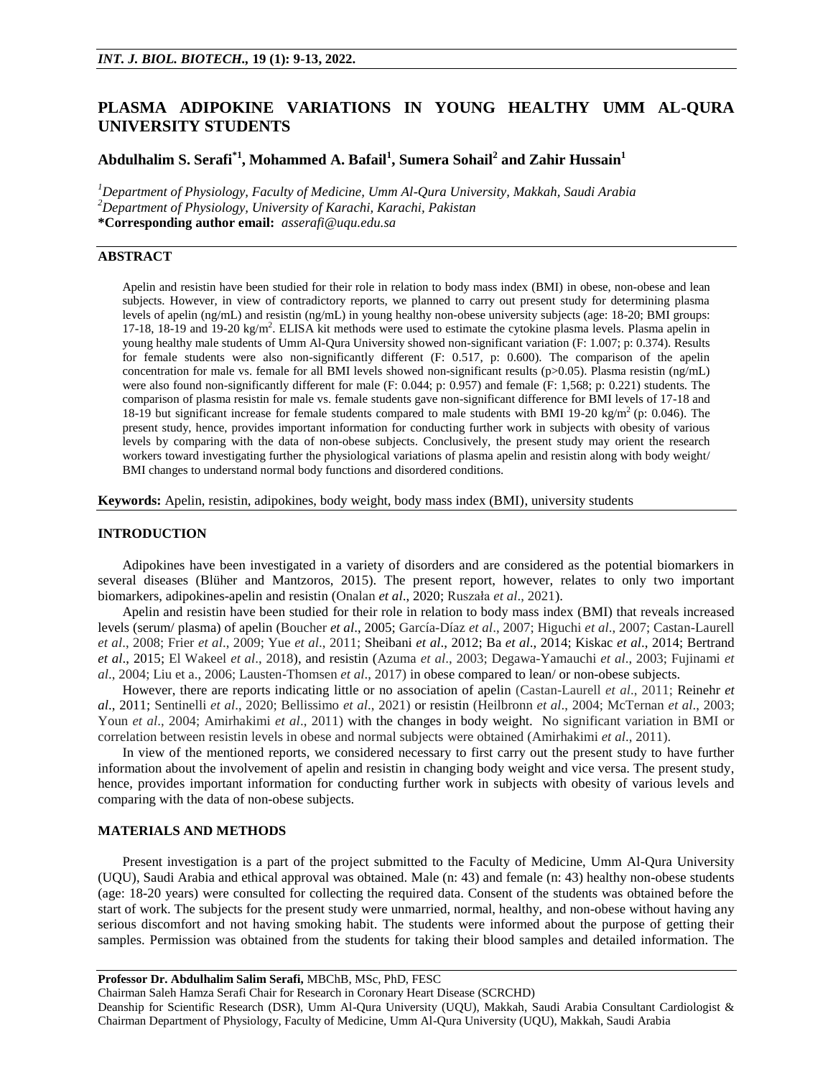# **PLASMA ADIPOKINE VARIATIONS IN YOUNG HEALTHY UMM AL-QURA UNIVERSITY STUDENTS**

# **Abdulhalim S. Serafi\*1 , Mohammed A. Bafail<sup>1</sup> , Sumera Sohail<sup>2</sup> and Zahir Hussain<sup>1</sup>**

*<sup>1</sup>Department of Physiology, Faculty of Medicine, Umm Al-Qura University, Makkah, Saudi Arabia <sup>2</sup>Department of Physiology, University of Karachi, Karachi, Pakistan* **\*Corresponding author email:** *[asserafi@uqu.edu.sa](mailto:asserafi@uqu.edu.sa)*

# **ABSTRACT**

Apelin and resistin have been studied for their role in relation to body mass index (BMI) in obese, non-obese and lean subjects. However, in view of contradictory reports, we planned to carry out present study for determining plasma levels of apelin (ng/mL) and resistin (ng/mL) in young healthy non-obese university subjects (age: 18-20; BMI groups: 17-18, 18-19 and 19-20 kg/m<sup>2</sup>. ELISA kit methods were used to estimate the cytokine plasma levels. Plasma apelin in young healthy male students of Umm Al-Qura University showed non-significant variation (F: 1.007; p: 0.374). Results for female students were also non-significantly different (F: 0.517, p: 0.600). The comparison of the apelin concentration for male vs. female for all BMI levels showed non-significant results (p>0.05). Plasma resistin (ng/mL) were also found non-significantly different for male (F: 0.044; p: 0.957) and female (F: 1,568; p: 0.221) students. The comparison of plasma resistin for male vs. female students gave non-significant difference for BMI levels of 17-18 and 18-19 but significant increase for female students compared to male students with BMI 19-20 kg/m<sup>2</sup> (p: 0.046). The present study, hence, provides important information for conducting further work in subjects with obesity of various levels by comparing with the data of non-obese subjects. Conclusively, the present study may orient the research workers toward investigating further the physiological variations of plasma apelin and resistin along with body weight/ BMI changes to understand normal body functions and disordered conditions.

**Keywords:** Apelin, resistin, adipokines, body weight, body mass index (BMI), university students

#### **INTRODUCTION**

Adipokines have been investigated in a variety of disorders and are considered as the potential biomarkers in several diseases (Blüher and Mantzoros, 2015). The present report, however, relates to only two important biomarkers, adipokines-apelin and resistin (Onalan *et al*., 2020; Ruszała *et al*., 2021).

Apelin and resistin have been studied for their role in relation to body mass index (BMI) that reveals increased levels (serum/ plasma) of apelin (Boucher *et al*., 2005; García-Díaz *et al*., 2007; Higuchi *et al*., 2007; Castan-Laurell *et al*., 2008; Frier *et al*., 2009; Yue *et al*., 2011; Sheibani *et al*., 2012; Ba *et al*., 2014; Kiskac *et al*., 2014; Bertrand *et al*., 2015; El Wakeel *et al*., 2018), and resistin (Azuma *et al*., 2003; Degawa-Yamauchi *et al*., 2003; Fujinami *et al*., 2004; Liu et a., 2006; Lausten-Thomsen *et al*., 2017) in obese compared to lean/ or non-obese subjects.

However, there are reports indicating little or no association of apelin (Castan-Laurell *et al*., 2011; Reinehr *et al*., 2011; Sentinelli *et al*., 2020; Bellissimo *et al*., 2021) or resistin (Heilbronn *et al*., 2004; McTernan *et al*., 2003; Youn *et al.*, 2004; Amirhakimi *et al.*, 2011) with the changes in body weight. No significant variation in BMI or correlation between resistin levels in obese and normal subjects were obtained (Amirhakimi *et al*., 2011).

In view of the mentioned reports, we considered necessary to first carry out the present study to have further information about the involvement of apelin and resistin in changing body weight and vice versa. The present study, hence, provides important information for conducting further work in subjects with obesity of various levels and comparing with the data of non-obese subjects.

# **MATERIALS AND METHODS**

Present investigation is a part of the project submitted to the Faculty of Medicine, Umm Al-Qura University (UQU), Saudi Arabia and ethical approval was obtained. Male (n: 43) and female (n: 43) healthy non-obese students (age: 18-20 years) were consulted for collecting the required data. Consent of the students was obtained before the start of work. The subjects for the present study were unmarried, normal, healthy, and non-obese without having any serious discomfort and not having smoking habit. The students were informed about the purpose of getting their samples. Permission was obtained from the students for taking their blood samples and detailed information. The

Chairman Saleh Hamza Serafi Chair for Research in Coronary Heart Disease (SCRCHD)

Deanship for Scientific Research (DSR), Umm Al-Qura University (UQU), Makkah, Saudi Arabia Consultant Cardiologist & Chairman Department of Physiology, Faculty of Medicine, Umm Al-Qura University (UQU), Makkah, Saudi Arabia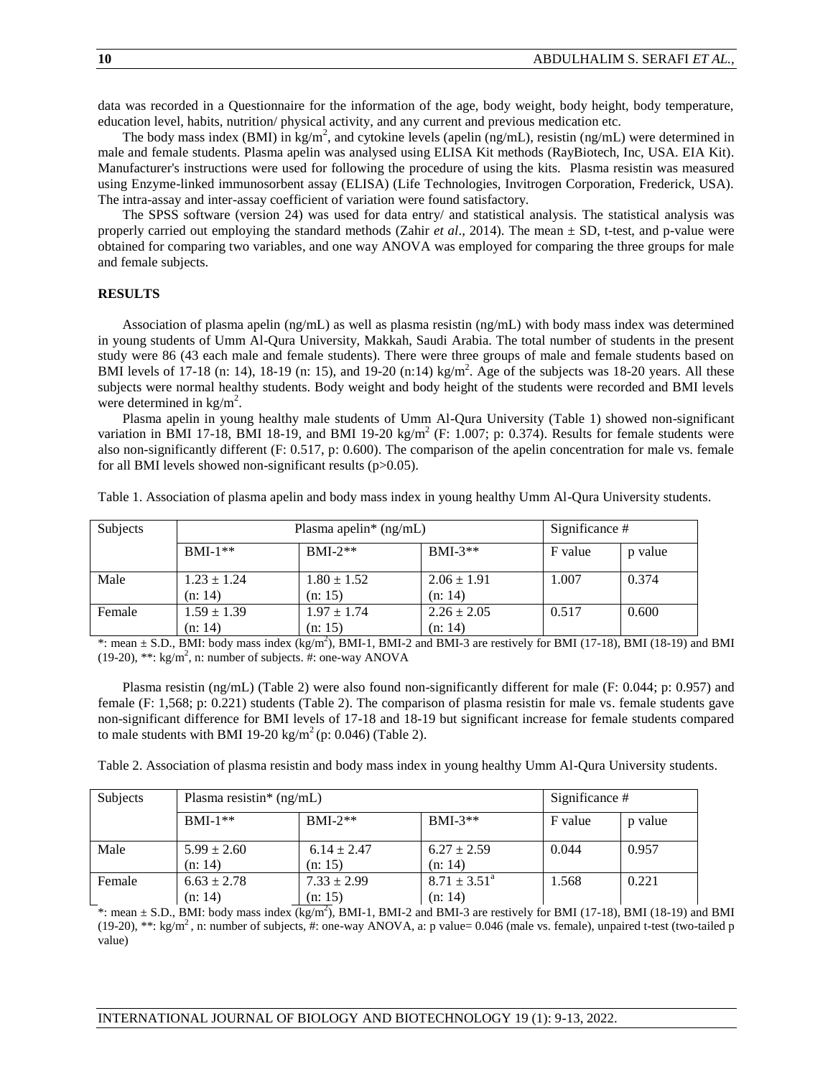data was recorded in a Questionnaire for the information of the age, body weight, body height, body temperature, education level, habits, nutrition/ physical activity, and any current and previous medication etc.

The body mass index (BMI) in kg/m<sup>2</sup>, and cytokine levels (apelin (ng/mL), resistin (ng/mL) were determined in male and female students. Plasma apelin was analysed using ELISA Kit methods (RayBiotech, Inc, USA. EIA Kit). Manufacturer's instructions were used for following the procedure of using the kits. Plasma resistin was measured using Enzyme-linked immunosorbent assay (ELISA) (Life Technologies, Invitrogen Corporation, Frederick, USA). The intra-assay and inter-assay coefficient of variation were found satisfactory.

The SPSS software (version 24) was used for data entry/ and statistical analysis. The statistical analysis was properly carried out employing the standard methods (Zahir *et al*., 2014). The mean ± SD, t-test, and p-value were obtained for comparing two variables, and one way ANOVA was employed for comparing the three groups for male and female subjects.

### **RESULTS**

Association of plasma apelin (ng/mL) as well as plasma resistin (ng/mL) with body mass index was determined in young students of Umm Al-Qura University, Makkah, Saudi Arabia. The total number of students in the present study were 86 (43 each male and female students). There were three groups of male and female students based on BMI levels of 17-18 (n: 14), 18-19 (n: 15), and 19-20 (n:14) kg/m<sup>2</sup>. Age of the subjects was 18-20 years. All these subjects were normal healthy students. Body weight and body height of the students were recorded and BMI levels were determined in  $\text{kg/m}^2$ .

Plasma apelin in young healthy male students of Umm Al-Qura University (Table 1) showed non-significant variation in BMI 17-18, BMI 18-19, and BMI 19-20 kg/m<sup>2</sup> (F: 1.007; p: 0.374). Results for female students were also non-significantly different (F: 0.517, p: 0.600). The comparison of the apelin concentration for male vs. female for all BMI levels showed non-significant results (p>0.05).

| Table 1. Association of plasma apelin and body mass index in young healthy Umm Al-Qura University students. |  |  |  |  |  |  |  |
|-------------------------------------------------------------------------------------------------------------|--|--|--|--|--|--|--|
|-------------------------------------------------------------------------------------------------------------|--|--|--|--|--|--|--|

| Subjects | Plasma apelin <sup>*</sup> $(ng/mL)$ | Significance #  |                 |         |         |
|----------|--------------------------------------|-----------------|-----------------|---------|---------|
|          | $BMI-1**$                            | $BMI-2**$       | $BMI-3**$       | F value | p value |
| Male     | $1.23 \pm 1.24$                      | $1.80 \pm 1.52$ | $2.06 \pm 1.91$ | 1.007   | 0.374   |
|          | (n: 14)                              | (n: 15)         | (n: 14)         |         |         |
| Female   | $1.59 \pm 1.39$                      | $1.97 \pm 1.74$ | $2.26 \pm 2.05$ | 0.517   | 0.600   |
|          | (n: 14)                              | (n: 15)         | (n: 14)         |         |         |

\*: mean  $\pm$  S.D., BMI: body mass index  $\overline{(\text{kg/m}^2)}$ , BMI-1, BMI-2 and BMI-3 are restively for BMI (17-18), BMI (18-19) and BMI (19-20), \*\*:  $\text{kg/m}^2$ , n: number of subjects. #: one-way ANOVA

Plasma resistin (ng/mL) (Table 2) were also found non-significantly different for male (F: 0.044; p: 0.957) and female (F: 1,568; p: 0.221) students (Table 2). The comparison of plasma resistin for male vs. female students gave non-significant difference for BMI levels of 17-18 and 18-19 but significant increase for female students compared to male students with BMI 19-20  $\text{kg/m}^2$  (p: 0.046) (Table 2).

Table 2. Association of plasma resistin and body mass index in young healthy Umm Al-Qura University students.

| <b>Subjects</b> | Plasma resistin* $(ng/mL)$ | Significance #  |                         |         |         |
|-----------------|----------------------------|-----------------|-------------------------|---------|---------|
|                 | $BMI-1**$                  | $BMI-2**$       | $BMI-3**$               | F value | p value |
| Male            | $5.99 \pm 2.60$            | $6.14 \pm 2.47$ | $6.27 \pm 2.59$         | 0.044   | 0.957   |
|                 | (n: 14)                    | (n: 15)         | (n: 14)                 |         |         |
| Female          | $6.63 \pm 2.78$            | $7.33 \pm 2.99$ | $8.71 \pm 3.51^{\circ}$ | 1.568   | 0.221   |
|                 | (n: 14)                    | (n: 15)         | (n: 14)                 |         |         |

\*: mean  $\pm$  S.D., BMI: body mass index  $\overline{(\text{kg/m}^2)}$ , BMI-1, BMI-2 and BMI-3 are restively for BMI (17-18), BMI (18-19) and BMI  $(19-20)$ , \*\*: kg/m<sup>2</sup>, n: number of subjects, #: one-way ANOVA, a: p value= 0.046 (male vs. female), unpaired t-test (two-tailed p value)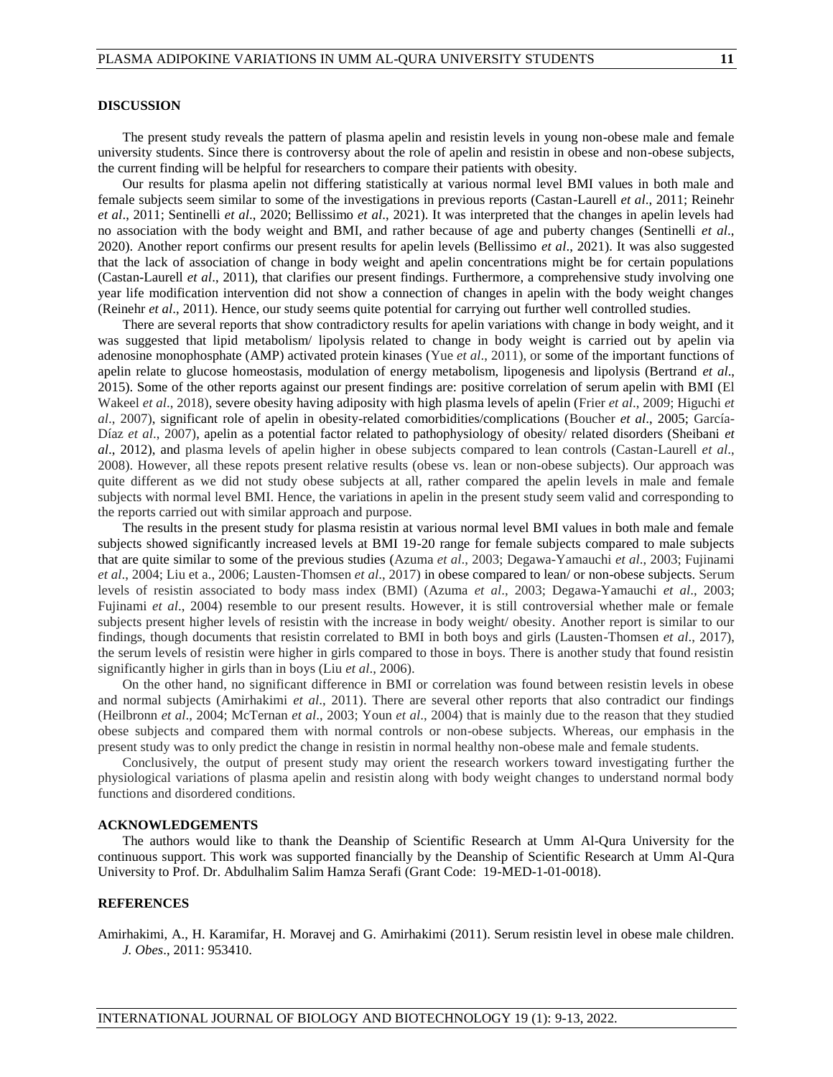# **DISCUSSION**

The present study reveals the pattern of plasma apelin and resistin levels in young non-obese male and female university students. Since there is controversy about the role of apelin and resistin in obese and non-obese subjects, the current finding will be helpful for researchers to compare their patients with obesity.

Our results for plasma apelin not differing statistically at various normal level BMI values in both male and female subjects seem similar to some of the investigations in previous reports (Castan-Laurell *et al*., 2011; Reinehr *et al*., 2011; Sentinelli *et al*., 2020; Bellissimo *et al*., 2021). It was interpreted that the changes in apelin levels had no association with the body weight and BMI, and rather because of age and puberty changes (Sentinelli *et al*., 2020). Another report confirms our present results for apelin levels (Bellissimo *et al*., 2021). It was also suggested that the lack of association of change in body weight and apelin concentrations might be for certain populations (Castan-Laurell *et al*., 2011), that clarifies our present findings. Furthermore, a comprehensive study involving one year life modification intervention did not show a connection of changes in apelin with the body weight changes (Reinehr *et al*., 2011). Hence, our study seems quite potential for carrying out further well controlled studies.

There are several reports that show contradictory results for apelin variations with change in body weight, and it was suggested that lipid metabolism/ lipolysis related to change in body weight is carried out by apelin via adenosine monophosphate (AMP) activated protein kinases (Yue *et al*., 2011), or some of the important functions of apelin relate to glucose homeostasis, modulation of energy metabolism, lipogenesis and lipolysis (Bertrand *et al*., 2015). Some of the other reports against our present findings are: positive correlation of serum apelin with BMI (El Wakeel *et al*., 2018), severe obesity having adiposity with high plasma levels of apelin (Frier *et al*., 2009; Higuchi *et al*., 2007), significant role of apelin in obesity-related comorbidities/complications (Boucher *et al*., 2005; García-Díaz *et al*., 2007), apelin as a potential factor related to pathophysiology of obesity/ related disorders (Sheibani *et al*., 2012), and plasma levels of apelin higher in obese subjects compared to lean controls (Castan-Laurell *et al*., 2008). However, all these repots present relative results (obese vs. lean or non-obese subjects). Our approach was quite different as we did not study obese subjects at all, rather compared the apelin levels in male and female subjects with normal level BMI. Hence, the variations in apelin in the present study seem valid and corresponding to the reports carried out with similar approach and purpose.

The results in the present study for plasma resistin at various normal level BMI values in both male and female subjects showed significantly increased levels at BMI 19-20 range for female subjects compared to male subjects that are quite similar to some of the previous studies (Azuma *et al*., 2003; Degawa-Yamauchi *et al*., 2003; Fujinami *et al*., 2004; Liu et a., 2006; Lausten-Thomsen *et al*., 2017) in obese compared to lean/ or non-obese subjects. Serum levels of resistin associated to body mass index (BMI) (Azuma *et al*., 2003; Degawa-Yamauchi *et al*., 2003; Fujinami *et al*., 2004) resemble to our present results. However, it is still controversial whether male or female subjects present higher levels of resistin with the increase in body weight/ obesity. Another report is similar to our findings, though documents that resistin correlated to BMI in both boys and girls (Lausten-Thomsen *et al*., 2017), the serum levels of resistin were higher in girls compared to those in boys. There is another study that found resistin significantly higher in girls than in boys (Liu *et al*., 2006).

On the other hand, no significant difference in BMI or correlation was found between resistin levels in obese and normal subjects (Amirhakimi *et al*., 2011). There are several other reports that also contradict our findings (Heilbronn *et al*., 2004; McTernan *et al*., 2003; Youn *et al*., 2004) that is mainly due to the reason that they studied obese subjects and compared them with normal controls or non-obese subjects. Whereas, our emphasis in the present study was to only predict the change in resistin in normal healthy non-obese male and female students.

Conclusively, the output of present study may orient the research workers toward investigating further the physiological variations of plasma apelin and resistin along with body weight changes to understand normal body functions and disordered conditions.

#### **ACKNOWLEDGEMENTS**

The authors would like to thank the Deanship of Scientific Research at Umm Al-Qura University for the continuous support. This work was supported financially by the Deanship of Scientific Research at Umm Al-Qura University to Prof. Dr. Abdulhalim Salim Hamza Serafi (Grant Code: 19-MED-1-01-0018).

### **REFERENCES**

Amirhakimi, A., H. Karamifar, H. Moravej and G. Amirhakimi (2011). Serum resistin level in obese male children. *J. Obes*., 2011: 953410.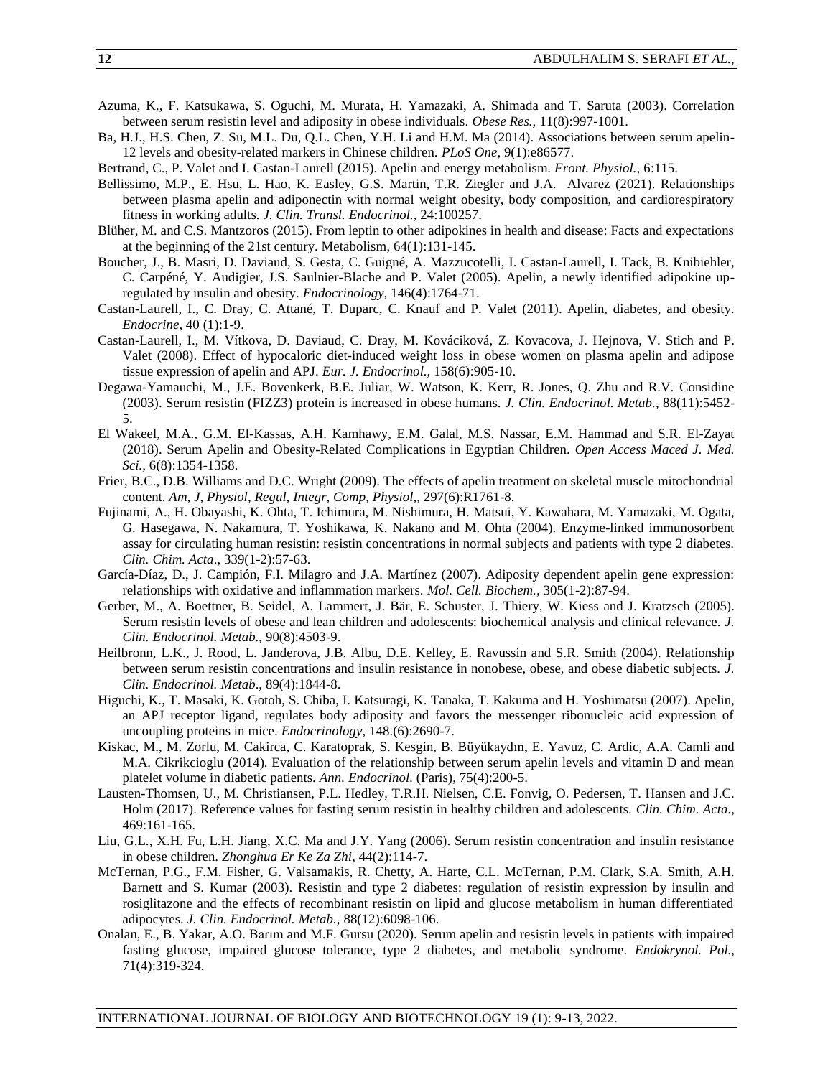- Azuma, K., F. Katsukawa, S. Oguchi, M. Murata, H. Yamazaki, A. Shimada and T. Saruta (2003). Correlation between serum resistin level and adiposity in obese individuals. *Obese Res.,* 11(8):997-1001.
- Ba, H.J., H.S. Chen, Z. Su, M.L. Du, Q.L. Chen, Y.H. Li and H.M. Ma (2014). Associations between serum apelin-12 levels and obesity-related markers in Chinese children. *PLoS One*, 9(1):e86577.
- Bertrand, C., P. Valet and I. Castan-Laurell (2015). Apelin and energy metabolism. *Front. Physiol.,* 6:115.
- Bellissimo, M.P., E. Hsu, L. Hao, K. Easley, G.S. Martin, T.R. Ziegler and J.A. Alvarez (2021). Relationships between plasma apelin and adiponectin with normal weight obesity, body composition, and cardiorespiratory fitness in working adults. *J. Clin. Transl. Endocrinol.*, 24:100257.
- Blüher, M. and C.S. Mantzoros (2015). From leptin to other adipokines in health and disease: Facts and expectations at the beginning of the 21st century. Metabolism, 64(1):131-145.
- Boucher, J., B. Masri, D. Daviaud, S. Gesta, C. Guigné, A. Mazzucotelli, I. Castan-Laurell, I. Tack, B. Knibiehler, C. Carpéné, Y. Audigier, J.S. Saulnier-Blache and P. Valet (2005). Apelin, a newly identified adipokine upregulated by insulin and obesity. *Endocrinology,* 146(4):1764-71.
- Castan-Laurell, I., C. Dray, C. Attané, T. Duparc, C. Knauf and P. Valet (2011). Apelin, diabetes, and obesity. *Endocrine,* 40 (1):1-9.
- Castan-Laurell, I., M. Vítkova, D. Daviaud, C. Dray, M. Kováciková, Z. Kovacova, J. Hejnova, V. Stich and P. Valet (2008). Effect of hypocaloric diet-induced weight loss in obese women on plasma apelin and adipose tissue expression of apelin and APJ. *Eur. J. Endocrinol.,* 158(6):905-10.
- Degawa-Yamauchi, M., J.E. Bovenkerk, B.E. Juliar, W. Watson, K. Kerr, R. Jones, Q. Zhu and R.V. Considine (2003). Serum resistin (FIZZ3) protein is increased in obese humans. *J. Clin. Endocrinol. Metab.,* 88(11):5452- 5.
- El Wakeel, M.A., G.M. El-Kassas, A.H. Kamhawy, E.M. Galal, M.S. Nassar, E.M. Hammad and S.R. El-Zayat (2018). Serum Apelin and Obesity-Related Complications in Egyptian Children. *Open Access Maced J. Med. Sci.,* 6(8):1354-1358.
- Frier, B.C., D.B. Williams and D.C. Wright (2009). The effects of apelin treatment on skeletal muscle mitochondrial content. *Am, J, Physiol, Regul, Integr, Comp, Physiol,,* 297(6):R1761-8.
- Fujinami, A., H. Obayashi, K. Ohta, T. Ichimura, M. Nishimura, H. Matsui, Y. Kawahara, M. Yamazaki, M. Ogata, G. Hasegawa, N. Nakamura, T. Yoshikawa, K. Nakano and M. Ohta (2004). Enzyme-linked immunosorbent assay for circulating human resistin: resistin concentrations in normal subjects and patients with type 2 diabetes. *Clin. Chim. Acta*., 339(1-2):57-63.
- García-Díaz, D., J. Campión, F.I. Milagro and J.A. Martínez (2007). Adiposity dependent apelin gene expression: relationships with oxidative and inflammation markers. *Mol. Cell. Biochem.,* 305(1-2):87-94.
- Gerber, M., A. Boettner, B. Seidel, A. Lammert, J. Bär, E. Schuster, J. Thiery, W. Kiess and J. Kratzsch (2005). Serum resistin levels of obese and lean children and adolescents: biochemical analysis and clinical relevance. *J. Clin. Endocrinol. Metab.*, 90(8):4503-9.
- Heilbronn, L.K., J. Rood, L. Janderova, J.B. Albu, D.E. Kelley, E. Ravussin and S.R. Smith (2004). Relationship between serum resistin concentrations and insulin resistance in nonobese, obese, and obese diabetic subjects. *J. Clin. Endocrinol. Metab*., 89(4):1844-8.
- Higuchi, K., T. Masaki, K. Gotoh, S. Chiba, I. Katsuragi, K. Tanaka, T. Kakuma and H. Yoshimatsu (2007). Apelin, an APJ receptor ligand, regulates body adiposity and favors the messenger ribonucleic acid expression of uncoupling proteins in mice. *Endocrinology*, 148.(6):2690-7.
- Kiskac, M., M. Zorlu, M. Cakirca, C. Karatoprak, S. Kesgin, B. Büyükaydın, E. Yavuz, C. Ardic, A.A. Camli and M.A. Cikrikcioglu (2014). Evaluation of the relationship between serum apelin levels and vitamin D and mean platelet volume in diabetic patients. *Ann. Endocrinol.* (Paris), 75(4):200-5.
- Lausten-Thomsen, U., M. Christiansen, P.L. Hedley, T.R.H. Nielsen, C.E. Fonvig, O. Pedersen, T. Hansen and J.C. Holm (2017). Reference values for fasting serum resistin in healthy children and adolescents. *Clin. Chim. Acta*., 469:161-165.
- Liu, G.L., X.H. Fu, L.H. Jiang, X.C. Ma and J.Y. Yang (2006). Serum resistin concentration and insulin resistance in obese children. *Zhonghua Er Ke Za Zhi*, 44(2):114-7.
- McTernan, P.G., F.M. Fisher, G. Valsamakis, R. Chetty, A. Harte, C.L. McTernan, P.M. Clark, S.A. Smith, A.H. Barnett and S. Kumar (2003). Resistin and type 2 diabetes: regulation of resistin expression by insulin and rosiglitazone and the effects of recombinant resistin on lipid and glucose metabolism in human differentiated adipocytes. *J. Clin. Endocrinol. Metab.,* 88(12):6098-106.
- Onalan, E., B. Yakar, A.O. Barım and M.F. Gursu (2020). Serum apelin and resistin levels in patients with impaired fasting glucose, impaired glucose tolerance, type 2 diabetes, and metabolic syndrome. *Endokrynol. Pol.,* 71(4):319-324.